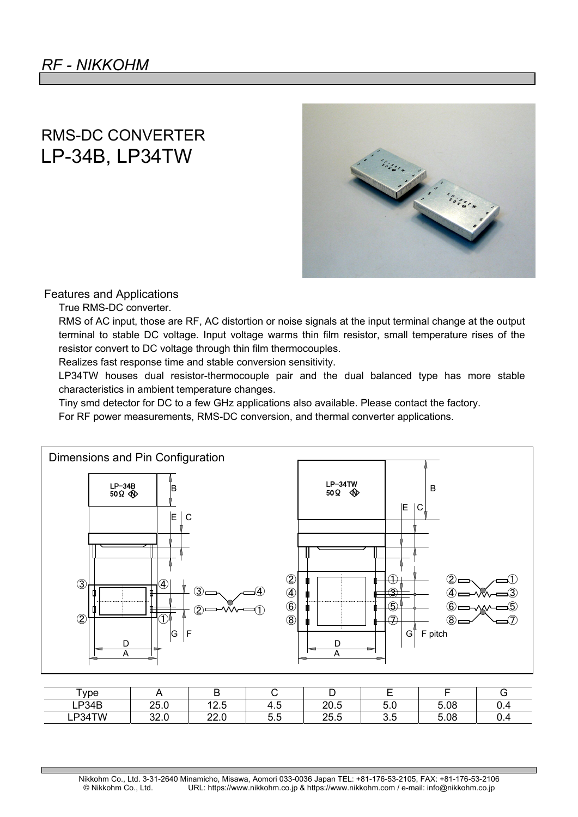## RMS-DC CONVERTER LP-34B, LP34TW



## Features and Applications

True RMS-DC converter.

RMS of AC input, those are RF, AC distortion or noise signals at the input terminal change at the output terminal to stable DC voltage. Input voltage warms thin film resistor, small temperature rises of the resistor convert to DC voltage through thin film thermocouples.

Realizes fast response time and stable conversion sensitivity.

LP34TW houses dual resistor-thermocouple pair and the dual balanced type has more stable characteristics in ambient temperature changes.

Tiny smd detector for DC to a few GHz applications also available. Please contact the factory.

For RF power measurements, RMS-DC conversion, and thermal converter applications.



| $\mathsf{v}$ ype  |              | -            |      | ້             |               |      |     |
|-------------------|--------------|--------------|------|---------------|---------------|------|-----|
| P <sub>34</sub> B | ገፍ በ<br>ZJ.U | 40E<br>ن ۲۰  | ن. 4 | 20.5          | ᄃ<br>v.v      | 5.08 | ∪.+ |
| P34TW<br>டா       | ററ റ<br>∪⊷   | ററ റ<br>22.U | ⊽.⊽  | つら ら<br>ں.ں ے | $\sim$<br>∪.⊽ | 5.08 | ∪.∿ |